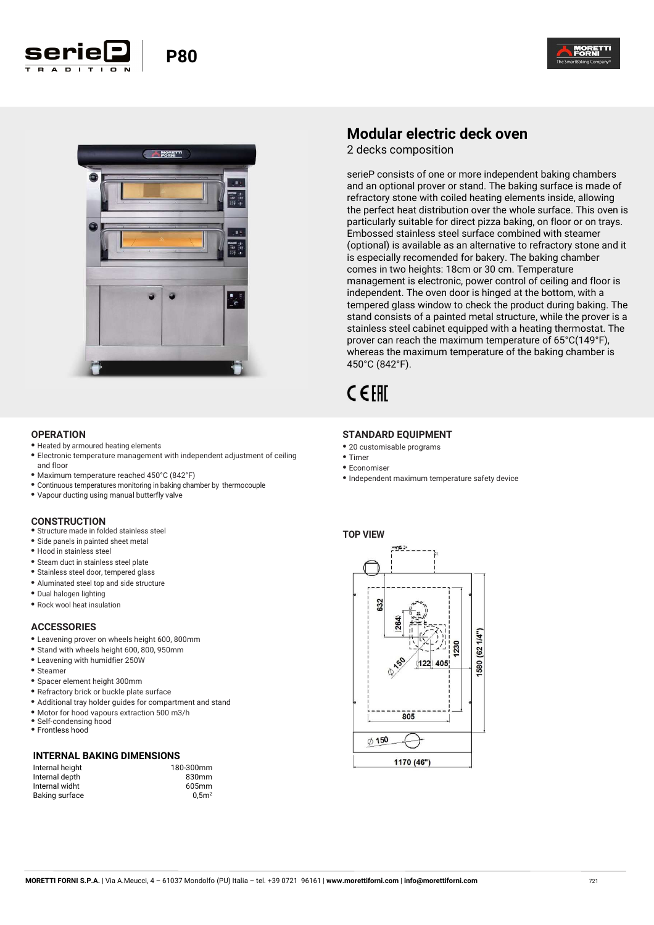



#### **OPERATION**

- **•** Heated by armoured heating elements
- **•** Electronic temperature management with independent adjustment of ceiling and floor
- **•** Maximum temperature reached 450°C (842°F)

**Seriel** P80

- **•** Continuous temperatures monitoring in baking chamber by thermocouple
- **•** Vapour ducting using manual butterfly valve

#### **CONSTRUCTION**

- **•** Structure made in folded stainless steel
- **•** Side panels in painted sheet metal
- **•** Hood in stainless steel
- **•** Steam duct in stainless steel plate
- **•** Stainless steel door, tempered glass
- **•** Aluminated steel top and side structure
- **•** Dual halogen lighting
- **•** Rock wool heat insulation

## **ACCESSORIES**

- **•** Leavening prover on wheels height 600, 800mm
- **•** Stand with wheels height 600, 800, 950mm
- **•** Leavening with humidfier 250W
- **•** Steamer
- **•** Spacer element height 300mm
- **•** Refractory brick or buckle plate surface
- **•** Additional tray holder guides for compartment and stand
- **•** Motor for hood vapours extraction 500 m3/h
- **•** Self-condensing hood **•** Frontless hood
- 

#### **INTERNAL BAKING DIMENSIONS**

| Internal height |  |
|-----------------|--|
| Internal depth  |  |
| Internal widht  |  |
| Baking surface  |  |
|                 |  |

180-300mm 830mm  $605mm$  $0.5<sup>2</sup>$ 

## **Modular electric deck oven**

2 decks composition

serieP consists of one or more independent baking chambers and an optional prover or stand. The baking surface is made of refractory stone with coiled heating elements inside, allowing the perfect heat distribution over the whole surface. This oven is particularly suitable for direct pizza baking, on floor or on trays. Embossed stainless steel surface combined with steamer (optional) is available as an alternative to refractory stone and it is especially recomended for bakery. The baking chamber comes in two heights: 18cm or 30 cm. Temperature management is electronic, power control of ceiling and floor is independent. The oven door is hinged at the bottom, with a tempered glass window to check the product during baking. The stand consists of a painted metal structure, while the prover is a stainless steel cabinet equipped with a heating thermostat. The prover can reach the maximum temperature of 65°C(149°F), whereas the maximum temperature of the baking chamber is 450°C (842°F).

# CEFAT

#### **STANDARD EQUIPMENT**

- **•** 20 customisable programs
- **•** Timer
- **•** Economiser
- **•** Independent maximum temperature safety device

## **TOP VIEW**

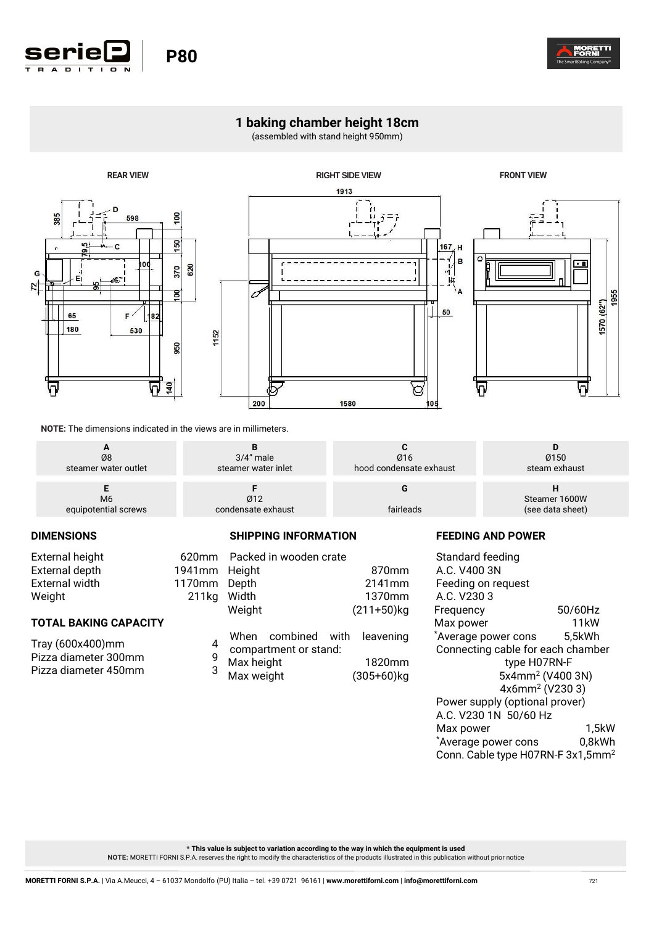

## **1 baking chamber height 18cm**

(assembled with stand height 950mm)







**NOTE:** The dimensions indicated in the views are in millimeters.

620mm 1941mm 1170mm  $211kq$ 

| Ø8                   | $3/4$ " male        | Ø16                     | Ø150             |
|----------------------|---------------------|-------------------------|------------------|
| steamer water outlet | steamer water inlet | hood condensate exhaust | steam exhaust    |
| M6                   | Ø12                 | fairleads               | Steamer 1600W    |
| equipotential screws | condensate exhaust  |                         | (see data sheet) |

## **DIMENSIONS**

| <b>External height</b> |  |
|------------------------|--|
| External depth         |  |
| External width         |  |
| Weight                 |  |

## **TOTAL BAKING CAPACITY**

Tray (600x400)mm 4 Pizza diameter 300mm 9 Pizza diameter 450mm 3

|  | <b>SHIPPING INFORMATION</b> |
|--|-----------------------------|
|--|-----------------------------|

|            | Packed in wooden crate                                |        |               |  |
|------------|-------------------------------------------------------|--------|---------------|--|
| Height     |                                                       |        | 870mm         |  |
| Depth      |                                                       |        | 2141mm        |  |
| Width      |                                                       | 1370mm |               |  |
| Weight     |                                                       |        | $(211+50)$ kg |  |
|            | When combined with leavening<br>compartment or stand: |        |               |  |
| Max height |                                                       |        | 1820mm        |  |
| Max weight |                                                       |        | $(305+60)$ kg |  |
|            |                                                       |        |               |  |

## **FEEDING AND POWER**

| Standard feeding                              |                              |
|-----------------------------------------------|------------------------------|
| A.C. V400 3N                                  |                              |
| Feeding on request                            |                              |
| A.C. V <sub>230</sub> 3                       |                              |
| Frequency                                     | 50/60Hz                      |
| Max power                                     | 11kW                         |
| *Average power cons                           | 5,5kWh                       |
| Connecting cable for each chamber             |                              |
| type H07RN-F                                  |                              |
|                                               | 5x4mm <sup>2</sup> (V400 3N) |
| 4x6mm <sup>2</sup> (V2303)                    |                              |
| Power supply (optional prover)                |                              |
| A.C. V230 1N 50/60 Hz                         |                              |
| Max power                                     | 1,5kW                        |
| *Average power cons                           | 0,8kWh                       |
| Conn. Cable type H07RN-F 3x1,5mm <sup>2</sup> |                              |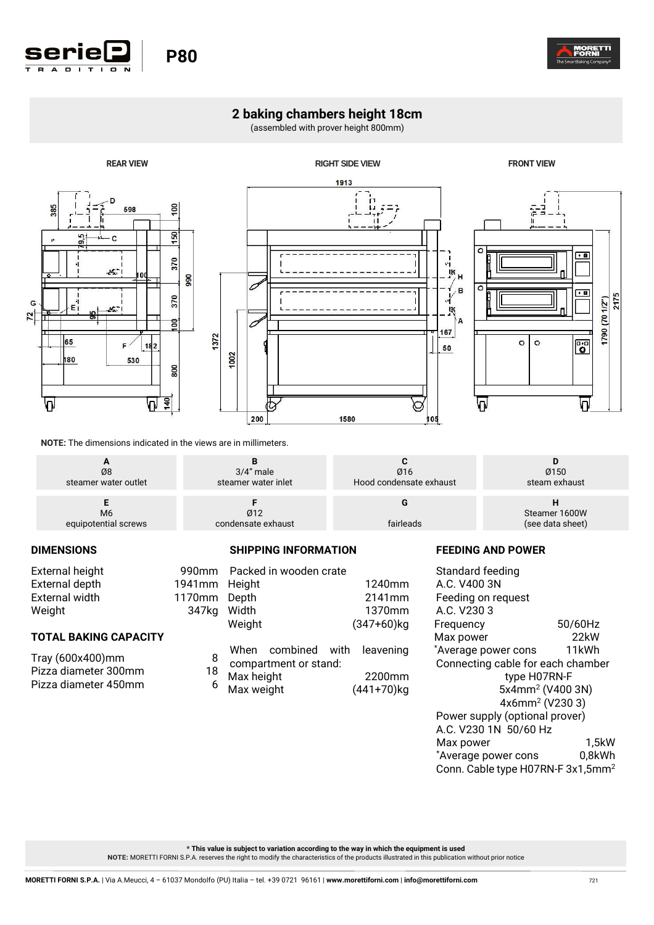

## **2 baking chambers height 18cm**

(assembled with prover height 800mm)



**NOTE:** The dimensions indicated in the views are in millimeters.

| Ø8                   | $3/4$ " male        | Ø16                     | Ø150             |
|----------------------|---------------------|-------------------------|------------------|
| steamer water outlet | steamer water inlet | Hood condensate exhaust | steam exhaust    |
| M <sub>6</sub>       | Ø12                 | fairleads               | Steamer 1600W    |
| equipotential screws | condensate exhaust  |                         | (see data sheet) |

## **DIMENSIONS**

| External height | 990mm  |
|-----------------|--------|
| External depth  | 1941mm |
| External width  | 1170mm |
| Weight          | 347kg  |
|                 |        |

## **TOTAL BAKING CAPACITY**

| Tray (600x400)mm     | 8  |
|----------------------|----|
| Pizza diameter 300mm | 18 |
| Pizza diameter 450mm | 6  |

| 990 <sub>mm</sub> | Packed in wooden crate |               |
|-------------------|------------------------|---------------|
| 1941mm            | Height                 | 1240mm        |
| 1170mm            | Depth                  | 2141mm        |
| 347kg             | Width                  | 1370mm        |
|                   | Weight                 | $(347+60)$ kg |
|                   |                        |               |
|                   | When combined with     | leavening     |
| 8                 | compartment or stand:  |               |
| 18                | Max height             | 2200mm        |
| 6                 | Max weight             | (441+70)kg    |

**SHIPPING INFORMATION** 

## **FEEDING AND POWER**

Standard feeding A.C. V400 3N Feeding on request A.C. V230 3 Frequency 50/60Hz<br>
Max power 22kW Max power 22kW<br>
\*Average power cons 11kWh \*Average power cons Connecting cable for each chamber type H07RN-F 5x4mm<sup>2</sup> (V400 3N) 4x6mm<sup>2</sup> (V230 3) Power supply (optional prover) A.C. V230 1N 50/60 Hz Max power 1,5kW \*Average power cons 0,8kWh Conn. Cable type H07RN-F  $3x1,5mm^2$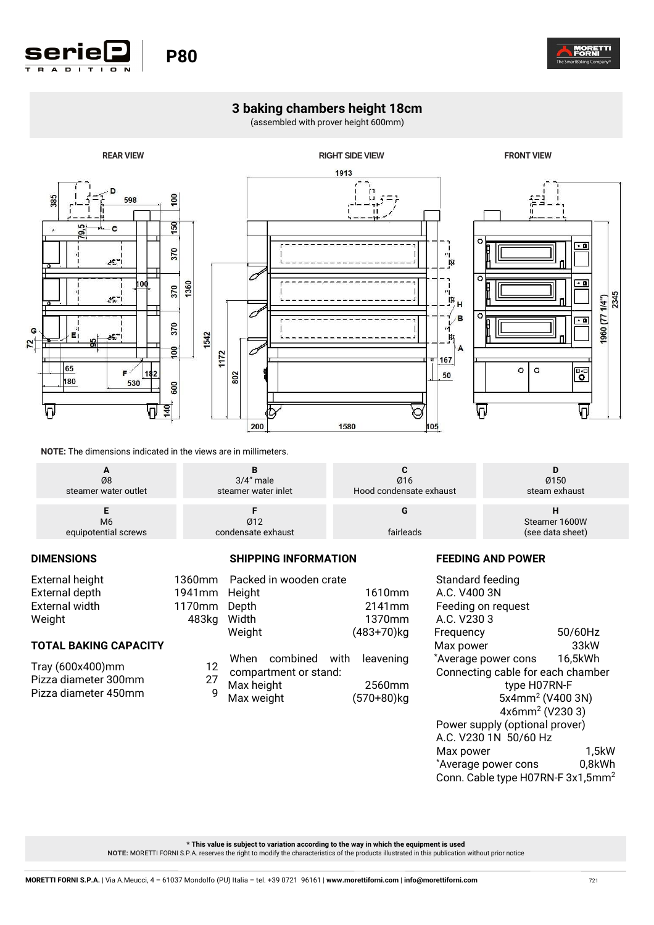

## **3 baking chambers height 18cm**

(assembled with prover height 600mm)



**NOTE:** The dimensions indicated in the views are in millimeters.

**Seriel** | P80

| Ø8                   | $3/4$ " male        | Ø16                     | Ø150             |
|----------------------|---------------------|-------------------------|------------------|
| steamer water outlet | steamer water inlet | Hood condensate exhaust | steam exhaust    |
| M <sub>6</sub>       | Ø12                 | fairleads               | Steamer 1600W    |
| equipotential screws | condensate exhaust  |                         | (see data sheet) |

### **DIMENSIONS**

| External height |               | 1360mm Packed in wooden crate |
|-----------------|---------------|-------------------------------|
| External depth  | 1941mm Height |                               |
| External width  | 1170mm Depth  |                               |
| Weight          | 483ka Width   |                               |

## **TOTAL BAKING CAPACITY**

| Tray (600x400)mm     | 12 |
|----------------------|----|
| Pizza diameter 300mm | 27 |
| Pizza diameter 450mm | g  |

| 1941mm Height<br>1170mm<br>483kg Width | Depth<br>Weight          |                                                       | 1610mm<br>2141mm<br>1370mm<br>$(483+70)$ kg |
|----------------------------------------|--------------------------|-------------------------------------------------------|---------------------------------------------|
| 12<br>$\overline{27}$<br>9             | Max height<br>Max weight | When combined with leavening<br>compartment or stand: | 2560mm<br>(570+80)kg                        |

**SHIPPING INFORMATION** 

## **FEEDING AND POWER**

Standard feeding A.C. V400 3N Feeding on request A.C. V230 3 Frequency 50/60Hz Max power 33kW \*Average power cons 16,5kWh Connecting cable for each chamber type H07RN-F 5x4mm<sup>2</sup> (V400 3N) 4x6mm<sup>2</sup> (V230 3) Power supply (optional prover) A.C. V230 1N 50/60 Hz Max power 1,5kW \*Average power cons 0,8kWh Conn. Cable type H07RN-F 3x1,5mm<sup>2</sup>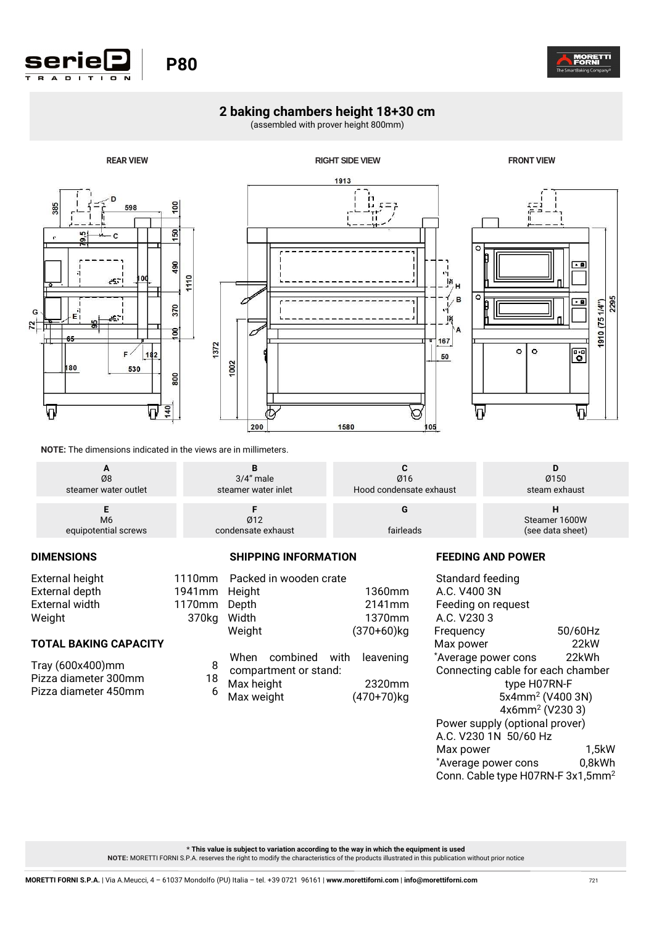

# **Seriel** | P80

## **2 baking chambers height 18+30 cm**

(assembled with prover height 800mm)



**NOTE:** The dimensions indicated in the views are in millimeters.

| Ø8                   | $3/4$ " male        | Ø16                     | Ø150             |
|----------------------|---------------------|-------------------------|------------------|
| steamer water outlet | steamer water inlet | Hood condensate exhaust | steam exhaust    |
| M <sub>6</sub>       | Ø12                 | fairleads               | Steamer 1600W    |
| equipotential screws | condensate exhaust  |                         | (see data sheet) |

### **DIMENSIONS**

| External height |  |
|-----------------|--|
| External depth  |  |
| External width  |  |
| Weight          |  |

## **TOTAL BAKING CAPACITY**

| Tray (600x400)mm     | 8  |
|----------------------|----|
| Pizza diameter 300mm | 18 |
| Pizza diameter 450mm | 6  |

|             | 1110mm Packed in wooden crate               |               |
|-------------|---------------------------------------------|---------------|
| 1941mm      | Height                                      | 1360mm        |
| 1170mm      | Depth                                       | 2141mm        |
| 370kg Width |                                             | 1370mm        |
|             | Weight                                      | $(370+60)$ kg |
| 8           | When combined with<br>compartment or stand: | leavening     |
| 18          | Max height                                  | 2320mm        |
| 6           | Max weight                                  | (470+70)kg    |

## **FEEDING AND POWER**

Standard feeding A.C. V400 3N Feeding on request A.C. V230 3 Frequency 50/60Hz Max power 22kW \*Average power cons 22kWh Connecting cable for each chamber type H07RN-F 5x4mm<sup>2</sup> (V400 3N) 4x6mm<sup>2</sup> (V230 3) Power supply (optional prover) A.C. V230 1N 50/60 Hz Max power 1,5kW<br>
\*Average power cons 0.8kWh \*Average power cons Conn. Cable type H07RN-F  $3x1,5mm^2$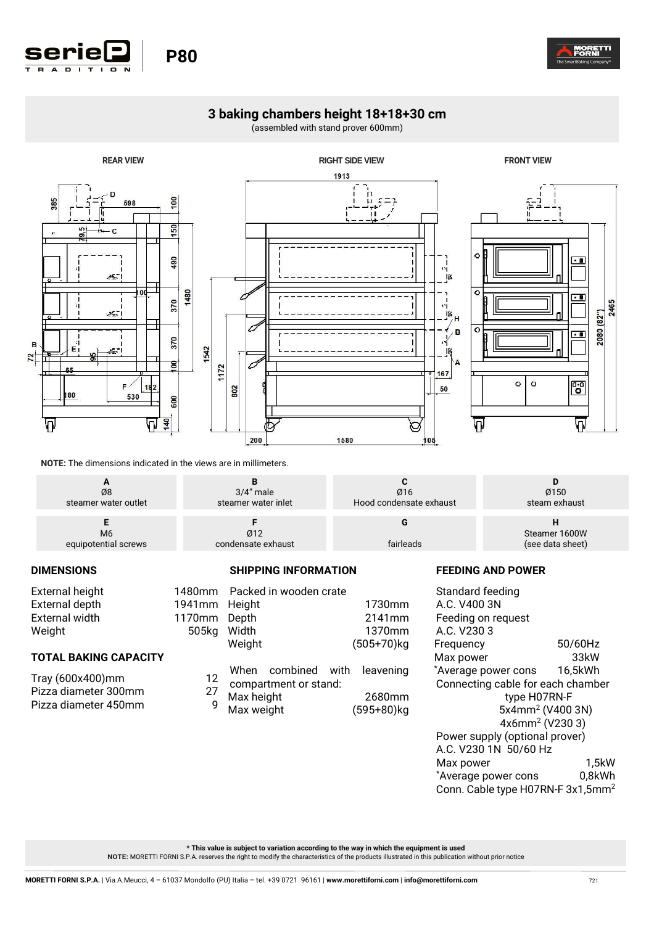

## **3 baking chambers height 18+18+30 cm**

(assembled with stand prover 600mm)



**NOTE:** The dimensions indicated in the views are in millimeters.

| Ø8                                     | $3/4"$ male               | Ø16                     | Ø150          |
|----------------------------------------|---------------------------|-------------------------|---------------|
| steamer water outlet                   | steamer water inlet       | Hood condensate exhaust | steam exhaust |
| M <sub>6</sub><br>equipotential screws | Ø12<br>condensate exhaust | fairleads               |               |

**SHIPPING INFORMATION** 

## **DIMENSIONS**

Pizza diameter 450mm 9

| External height              |               | 1480mm Packed in wooden crate                            |            |
|------------------------------|---------------|----------------------------------------------------------|------------|
| External depth               | 1941mm Height |                                                          | 1730mm     |
| External width               | 1170mm Depth  |                                                          | 2141mm     |
| Weight                       | 505kg         | Width                                                    | 1370mm     |
|                              |               | Weight                                                   | (505+70)kg |
| <b>TOTAL BAKING CAPACITY</b> |               |                                                          |            |
| Tray (600x400)mm             |               | When combined with leavening<br>12 compartment or stand: |            |

Pizza diameter 300mm 27<br>Pizza diameter 450mm 9

- Max height 2680mm
- Max weight (595+80)kg

## **FEEDING AND POWER**

Standard feeding A.C. V400 3N Feeding on request A.C. V230 3 Frequency 50/60Hz Max power 33kW \*Average power cons 16,5kWh Connecting cable for each chamber type H07RN-F 5x4mm<sup>2</sup> (V400 3N) 4x6mm<sup>2</sup> (V230 3) Power supply (optional prover) A.C. V230 1N 50/60 Hz Max power 1,5kW<br>
Average power cons 0.8kWh \*Average power cons Conn. Cable type H07RN-F  $3x1,5mm^2$